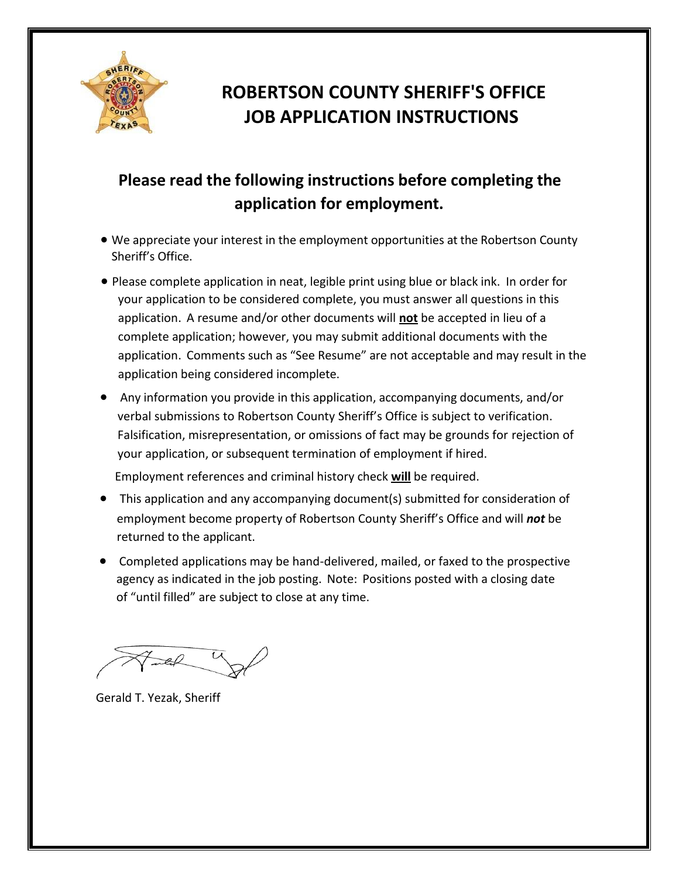

## **ROBERTSON COUNTY SHERIFF'S OFFICE JOB APPLICATION INSTRUCTIONS**

### **Please read the following instructions before completing the application for employment.**

- We appreciate your interest in the employment opportunities at the Robertson County Sheriff's Office.
- Please complete application in neat, legible print using blue or black ink. In order for your application to be considered complete, you must answer all questions in this application. A resume and/or other documents will **not** be accepted in lieu of a complete application; however, you may submit additional documents with the application. Comments such as "See Resume" are not acceptable and may result in the application being considered incomplete.
- Any information you provide in this application, accompanying documents, and/or verbal submissions to Robertson County Sheriff's Office is subject to verification. Falsification, misrepresentation, or omissions of fact may be grounds for rejection of your application, or subsequent termination of employment if hired.

Employment references and criminal history check **will** be required.

- This application and any accompanying document(s) submitted for consideration of employment become property of Robertson County Sheriff's Office and will *not* be returned to the applicant.
- Completed applications may be hand-delivered, mailed, or faxed to the prospective agency as indicated in the job posting. Note: Positions posted with a closing date of "until filled" are subject to close at any time.

Gerald T. Yezak, Sheriff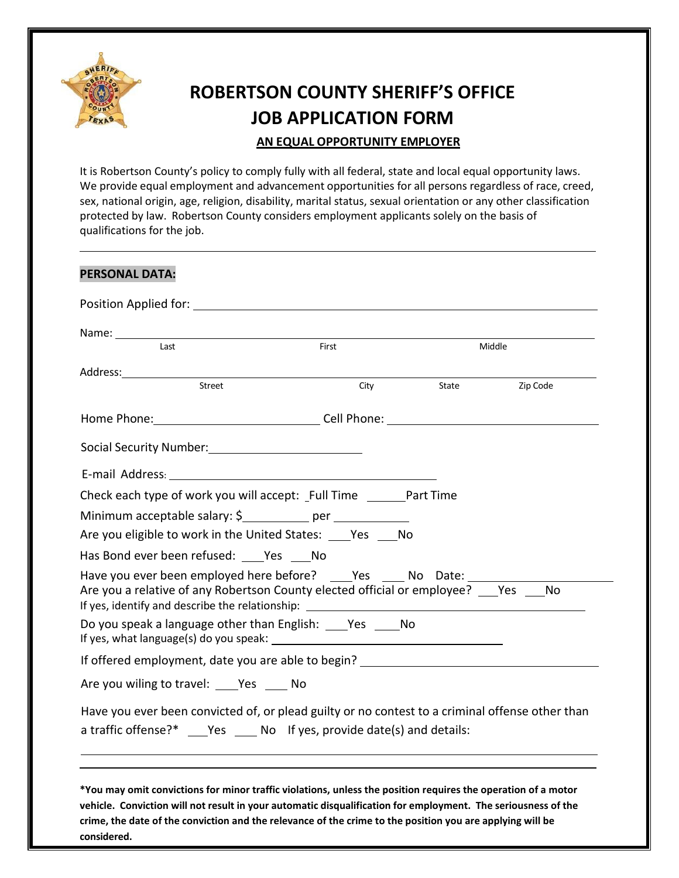

# **ROBERTSON COUNTY SHERIFF'S OFFICE JOB APPLICATION FORM**

#### **AN EQUAL OPPORTUNITY EMPLOYER**

It is Robertson County's policy to comply fully with all federal, state and local equal opportunity laws. We provide equal employment and advancement opportunities for all persons regardless of race, creed, sex, national origin, age, religion, disability, marital status, sexual orientation or any other classification protected by law. Robertson County considers employment applicants solely on the basis of qualifications for the job.

| Name: 1988<br>Last                                                                                                                                                                                                             | First | Middle |           |
|--------------------------------------------------------------------------------------------------------------------------------------------------------------------------------------------------------------------------------|-------|--------|-----------|
| Address: Andreas Address:                                                                                                                                                                                                      |       |        |           |
| Street                                                                                                                                                                                                                         | City  | State  | Zip Code  |
|                                                                                                                                                                                                                                |       |        |           |
| Social Security Number: 1997                                                                                                                                                                                                   |       |        |           |
| E-mail Address: Universe and Address and Address and Address and Address and Address and Address and Address and Address and Address and Address and Address and Address and Address and Address and Address and Address and A |       |        |           |
| Check each type of work you will accept: _Full Time _________Part Time                                                                                                                                                         |       |        |           |
| Minimum acceptable salary: \$____________ per ____________                                                                                                                                                                     |       |        |           |
| Are you eligible to work in the United States: _____ Yes _____ No                                                                                                                                                              |       |        |           |
| Has Bond ever been refused: _____ Yes _____ No                                                                                                                                                                                 |       |        |           |
| Have you ever been employed here before? ____Yes _____ No Date:<br>Are you a relative of any Robertson County elected official or employee? Yes                                                                                |       |        | <b>No</b> |
| Do you speak a language other than English: ____Yes ___ No                                                                                                                                                                     |       |        |           |
| If offered employment, date you are able to begin? _____________________________                                                                                                                                               |       |        |           |
| Are you wiling to travel: Yes No                                                                                                                                                                                               |       |        |           |
| Have you ever been convicted of, or plead guilty or no contest to a criminal offense other than<br>a traffic offense?* Yes No If yes, provide date(s) and details:                                                             |       |        |           |
|                                                                                                                                                                                                                                |       |        |           |

**considered.**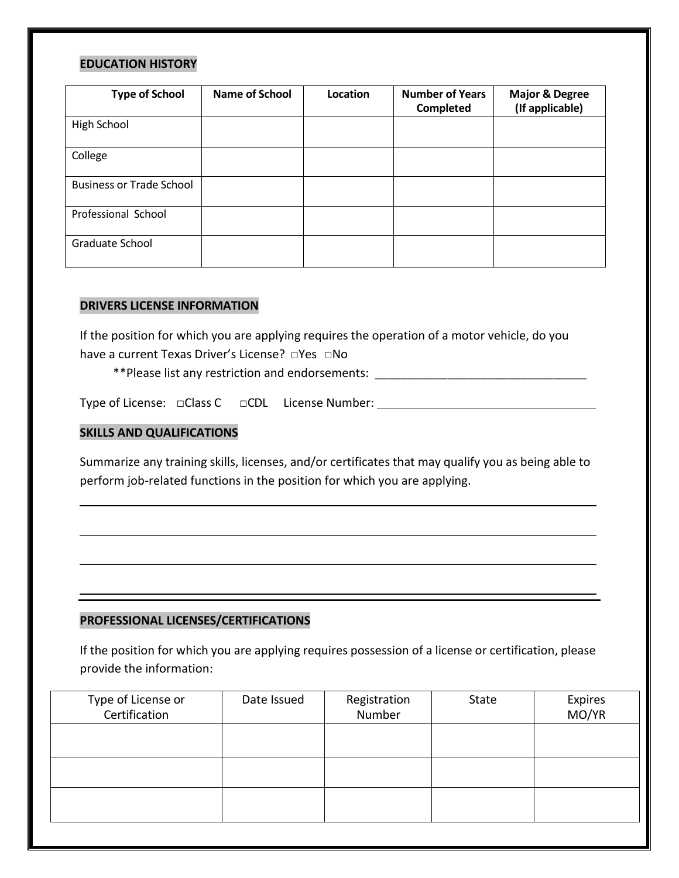#### **EDUCATION HISTORY**

| <b>Type of School</b>           | <b>Name of School</b> | Location | <b>Number of Years</b><br>Completed | <b>Major &amp; Degree</b><br>(If applicable) |
|---------------------------------|-----------------------|----------|-------------------------------------|----------------------------------------------|
| High School                     |                       |          |                                     |                                              |
| College                         |                       |          |                                     |                                              |
| <b>Business or Trade School</b> |                       |          |                                     |                                              |
| Professional School             |                       |          |                                     |                                              |
| Graduate School                 |                       |          |                                     |                                              |

#### **DRIVERS LICENSE INFORMATION**

If the position for which you are applying requires the operation of a motor vehicle, do you have a current Texas Driver's License? □Yes □No

\*\*Please list any restriction and endorsements: \_\_\_\_\_\_\_\_\_\_\_\_\_\_\_\_\_\_\_\_\_\_\_\_\_\_\_\_\_\_\_\_

Type of License: **□**Class C □CDL License Number:

#### **SKILLS AND QUALIFICATIONS**

Summarize any training skills, licenses, and/or certificates that may qualify you as being able to perform job-related functions in the position for which you are applying.

#### **PROFESSIONAL LICENSES/CERTIFICATIONS**

If the position for which you are applying requires possession of a license or certification, please provide the information:

| Type of License or<br>Certification | Date Issued | Registration<br>Number | State | Expires<br>MO/YR |
|-------------------------------------|-------------|------------------------|-------|------------------|
|                                     |             |                        |       |                  |
|                                     |             |                        |       |                  |
|                                     |             |                        |       |                  |
|                                     |             |                        |       |                  |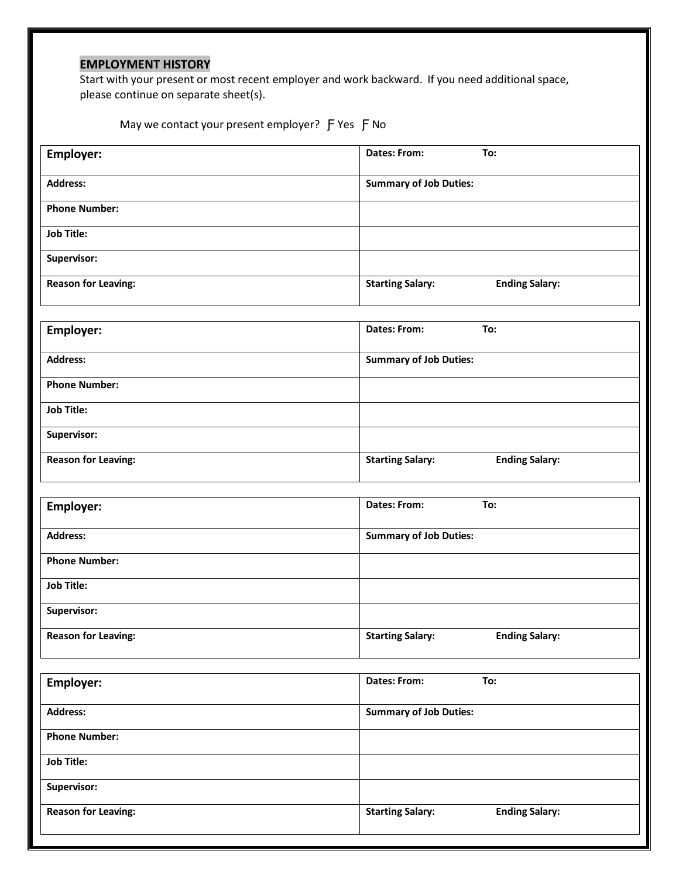### **EMPLOYMENT HISTORY**

Start with your present or most recent employer and work backward. If you need additional space, please continue on separate sheet(s).

May we contact your present employer? F Yes F No

| Employer:                  | <b>Dates: From:</b><br>To:                       |
|----------------------------|--------------------------------------------------|
| <b>Address:</b>            | <b>Summary of Job Duties:</b>                    |
| <b>Phone Number:</b>       |                                                  |
| <b>Job Title:</b>          |                                                  |
| Supervisor:                |                                                  |
| <b>Reason for Leaving:</b> | <b>Ending Salary:</b><br><b>Starting Salary:</b> |
|                            |                                                  |
| <b>Employer:</b>           | Dates: From:<br>To:                              |
| <b>Address:</b>            | <b>Summary of Job Duties:</b>                    |
| <b>Phone Number:</b>       |                                                  |
| <b>Job Title:</b>          |                                                  |
| Supervisor:                |                                                  |
| <b>Reason for Leaving:</b> | <b>Starting Salary:</b><br><b>Ending Salary:</b> |
|                            | <b>Dates: From:</b><br>To:                       |
| Employer:                  |                                                  |
| <b>Address:</b>            | <b>Summary of Job Duties:</b>                    |
| <b>Phone Number:</b>       |                                                  |
| <b>Job Title:</b>          |                                                  |
| Supervisor:                |                                                  |
| <b>Reason for Leaving:</b> | <b>Starting Salary:</b><br><b>Ending Salary:</b> |
|                            | <b>Dates: From:</b><br>To:                       |
| Employer:                  |                                                  |
| <b>Address:</b>            | <b>Summary of Job Duties:</b>                    |
| <b>Phone Number:</b>       |                                                  |
| <b>Job Title:</b>          |                                                  |
| Supervisor:                |                                                  |
| <b>Reason for Leaving:</b> | <b>Starting Salary:</b><br><b>Ending Salary:</b> |